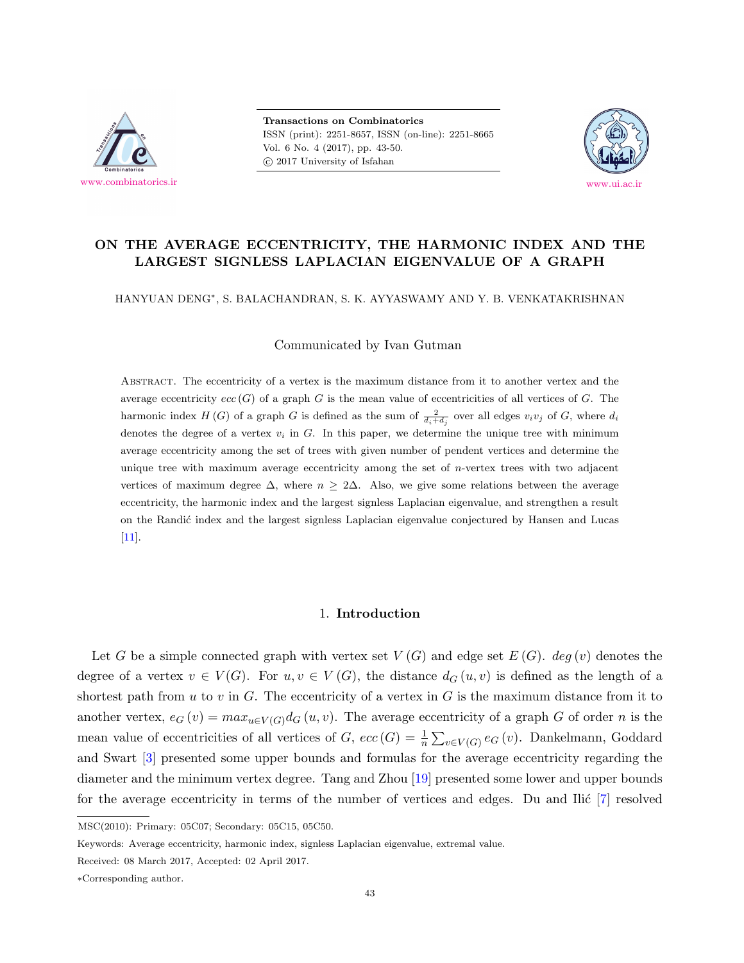

**Transactions on Combinatorics** ISSN (print): 2251-8657, ISSN (on-line): 2251-8665 Vol. 6 No. 4 (2017), pp. 43-50.  $\odot$  2017 University of Isfahan



# **ON THE AVERAGE ECCENTRICITY, THE HARMONIC INDEX AND THE LARGEST SIGNLESS LAPLACIAN EIGENVALUE OF A GRAPH**

HANYUAN DENG*<sup>∗</sup>* , S. BALACHANDRAN, S. K. AYYASWAMY AND Y. B. VENKATAKRISHNAN

Communicated by Ivan Gutman

Abstract. The eccentricity of a vertex is the maximum distance from it to another vertex and the average eccentricity  $ecc(G)$  of a graph *G* is the mean value of eccentricities of all vertices of *G*. The harmonic index  $H(G)$  of a graph *G* is defined as the sum of  $\frac{2}{d_i+d_j}$  over all edges  $v_i v_j$  of *G*, where  $d_i$ denotes the degree of a vertex  $v_i$  in  $G$ . In this paper, we determine the unique tree with minimum average eccentricity among the set of trees with given number of pendent vertices and determine the unique tree with maximum average eccentricity among the set of *n*-vertex trees with two adjacent vertices of maximum degree  $\Delta$ , where  $n \geq 2\Delta$ . Also, we give some relations between the average eccentricity, the harmonic index and the largest signless Laplacian eigenvalue, and strengthen a result on the Randić index and the largest signless Laplacian eigenvalue conjectured by Hansen and Lucas [[11](#page-6-0)].

## 1. **Introduction**

Let *G* be a simple connected graph with vertex set  $V(G)$  and edge set  $E(G)$ . *deg* (*v*) denotes the degree of a vertex  $v \in V(G)$ . For  $u, v \in V(G)$ , the distance  $d_G(u, v)$  is defined as the length of a shortest path from  $u$  to  $v$  in  $G$ . The eccentricity of a vertex in  $G$  is the maximum distance from it to another vertex,  $e_G(v) = max_{u \in V(G)} d_G(u, v)$ . The average eccentricity of a graph *G* of order *n* is the mean value of eccentricities of all vertices of *G*,  $ecc(G) = \frac{1}{n} \sum_{v \in V(G)} e_G(v)$ . Dankelmann, Goddard and Swart [[3](#page-6-1)] presented some upper bounds and formulas for the average eccentricity regarding the diameter and the minimum vertex degree. Tang and Zhou [[19](#page-7-0)] presented some lower and upper bounds for the average eccentricity in terms of the number of vertices and edges. Du and Ilić  $[7]$  $[7]$  resolved

MSC(2010): Primary: 05C07; Secondary: 05C15, 05C50.

Keywords: Average eccentricity, harmonic index, signless Laplacian eigenvalue, extremal value.

Received: 08 March 2017, Accepted: 02 April 2017.

*<sup>∗</sup>*Corresponding author.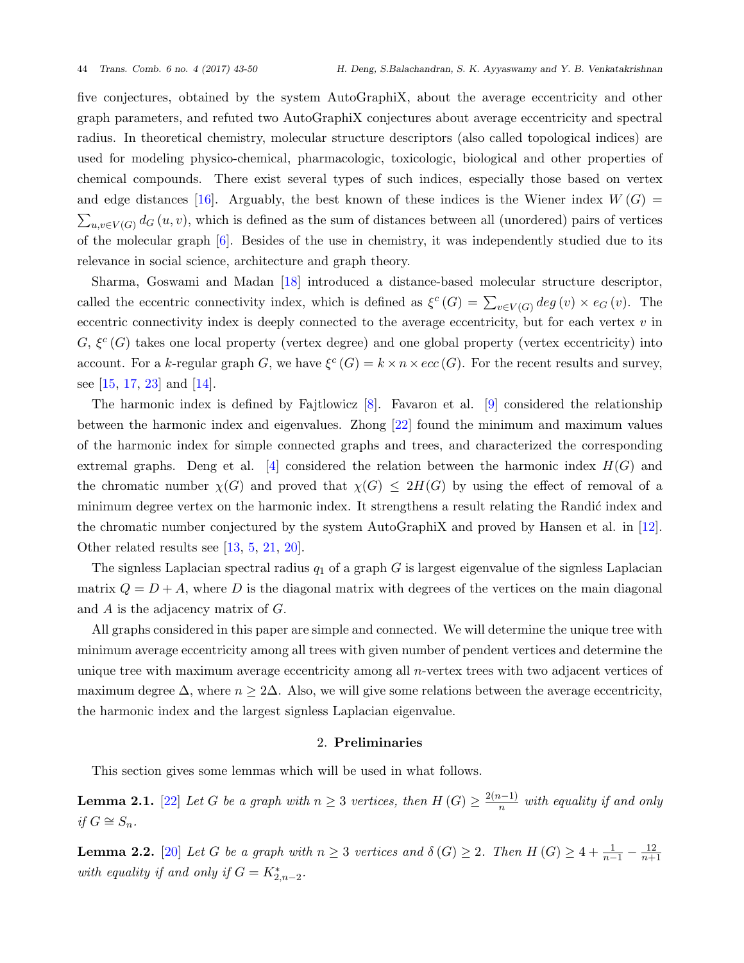five conjectures, obtained by the system AutoGraphiX, about the average eccentricity and other graph parameters, and refuted two AutoGraphiX conjectures about average eccentricity and spectral radius. In theoretical chemistry, molecular structure descriptors (also called topological indices) are used for modeling physico-chemical, pharmacologic, toxicologic, biological and other properties of chemical compounds. There exist several types of such indices, especially those based on vertex and edge distances [[16\]](#page-7-1). Arguably, the best known of these indices is the Wiener index  $W(G)$  =  $\sum_{u,v\in V(G)} d_G(u,v)$ , which is defined as the sum of distances between all (unordered) pairs of vertices of the molecular graph [[6](#page-6-3)]. Besides of the use in chemistry, it was independently studied due to its relevance in social science, architecture and graph theory.

Sharma, Goswami and Madan [[18\]](#page-7-2) introduced a distance-based molecular structure descriptor, called the eccentric connectivity index, which is defined as  $\xi^c(G) = \sum_{v \in V(G)} deg(v) \times e_G(v)$ . The eccentric connectivity index is deeply connected to the average eccentricity, but for each vertex *v* in  $G, \xi^c(G)$  takes one local property (vertex degree) and one global property (vertex eccentricity) into account. For a *k*-regular graph *G*, we have  $\xi^c(G) = k \times n \times ecc(G)$ . For the recent results and survey, see  $[15, 17, 23]$  $[15, 17, 23]$  $[15, 17, 23]$  $[15, 17, 23]$  $[15, 17, 23]$  $[15, 17, 23]$  and  $[14]$  $[14]$ .

The harmonic index is defined by Fajtlowicz  $[8]$ . Favaron et al.  $[9]$  $[9]$  $[9]$  considered the relationship between the harmonic index and eigenvalues. Zhong [[22](#page-7-7)] found the minimum and maximum values of the harmonic index for simple connected graphs and trees, and characterized the corresponding extremal graphs. Deng et al.  $[4]$  $[4]$  $[4]$  considered the relation between the harmonic index  $H(G)$  and the chromatic number  $\chi(G)$  and proved that  $\chi(G) \leq 2H(G)$  by using the effect of removal of a minimum degree vertex on the harmonic index. It strengthens a result relating the Randić index and the chromatic number conjectured by the system AutoGraphiX and proved by Hansen et al. in [[12](#page-6-7)]. Other related results see [[13,](#page-7-8) [5,](#page-6-8) [21](#page-7-9), [20\]](#page-7-10).

The signless Laplacian spectral radius *q*<sup>1</sup> of a graph *G* is largest eigenvalue of the signless Laplacian matrix  $Q = D + A$ , where D is the diagonal matrix with degrees of the vertices on the main diagonal and *A* is the adjacency matrix of *G*.

All graphs considered in this paper are simple and connected. We will determine the unique tree with minimum average eccentricity among all trees with given number of pendent vertices and determine the unique tree with maximum average eccentricity among all *n*-vertex trees with two adjacent vertices of maximum degree  $\Delta$ , where  $n \geq 2\Delta$ . Also, we will give some relations between the average eccentricity, the harmonic index and the largest signless Laplacian eigenvalue.

## 2. **Preliminaries**

This section gives some lemmas which will be used in what follows.

<span id="page-1-0"></span>**Lemma 2.1.** [[22\]](#page-7-7) *Let G be a graph with*  $n ≥ 3$  *vertices, then*  $H(G) ≥ \frac{2(n-1)}{n}$  *with equality if and only if*  $G$   $\cong$   $S_n$ *.* 

<span id="page-1-1"></span>**Lemma 2.2.** [[20](#page-7-10)] Let *G* be a graph with  $n \geq 3$  vertices and  $\delta(G) \geq 2$ . Then  $H(G) \geq 4 + \frac{1}{n-1} - \frac{12}{n+1}$ *n*+1 *with equality if and only if*  $G = K^*_{2,n-2}$ .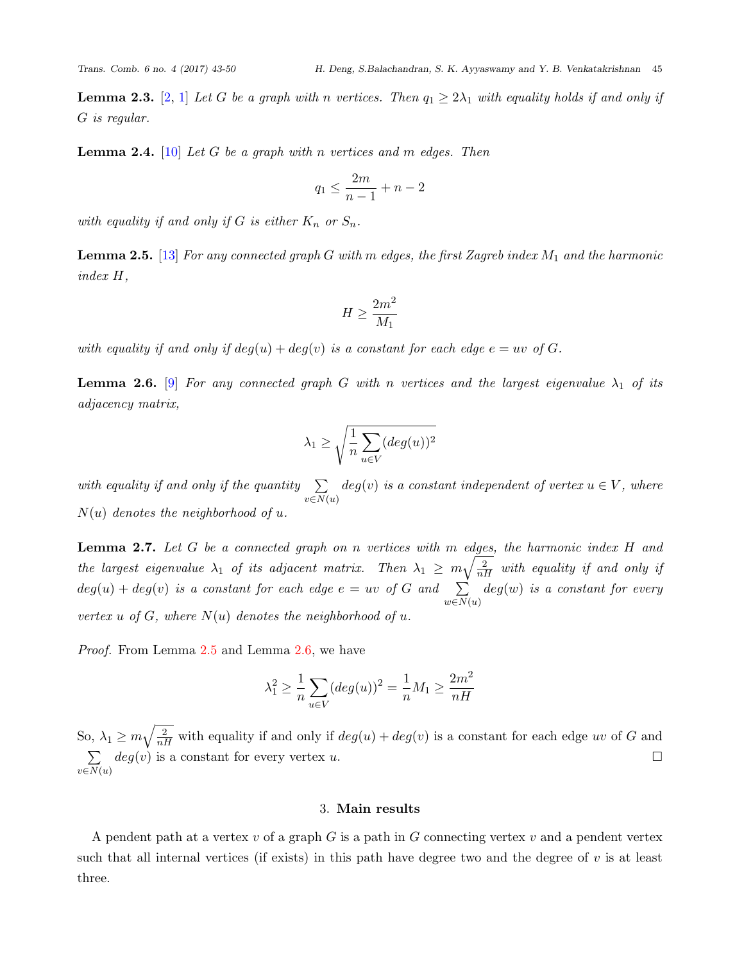<span id="page-2-3"></span><span id="page-2-2"></span>**Lemma 2.4.** [[10](#page-6-11)] *Let G be a graph with n vertices and m edges. Then*

$$
q_1 \le \frac{2m}{n-1} + n - 2
$$

*with equality if and only if*  $G$  *is either*  $K_n$  *or*  $S_n$ *.* 

<span id="page-2-0"></span>**Lemma 2.5.** [\[13](#page-7-8)] *For any connected graph G with m edges, the first Zagreb index M*<sup>1</sup> *and the harmonic index H,*

$$
H\geq \frac{2m^2}{M_1}
$$

*with equality if and only if*  $deg(u) + deg(v)$  *is a constant for each edge*  $e = uv$  *of*  $G$ *.* 

<span id="page-2-1"></span>**Lemma 2.6.** [\[9\]](#page-6-5) *For any connected graph G with n vertices and the largest eigenvalue*  $\lambda_1$  *of its adjacency matrix,*

$$
\lambda_1 \ge \sqrt{\frac{1}{n} \sum_{u \in V} (deg(u))^2}
$$

*with equality if and only if the quantity* ∑ *v∈N*(*u*)  $deg(v)$  *is a constant independent of vertex*  $u \in V$ *, where*  $N(u)$  *denotes the neighborhood of u.* 

<span id="page-2-4"></span>**Lemma 2.7.** *Let G be a connected graph on n vertices with m edges, the harmonic index H and the largest eigenvalue*  $\lambda_1$  *of its adjacent matrix. Then*  $\lambda_1 \geq m \sqrt{\frac{2}{nH}}$  *with equality if and only if*  $deg(u) + deg(v)$  *is a constant for each edge*  $e = uv$  *of*  $G$  *and*  $\sum$ *w∈N*(*u*) *deg*(*w*) *is a constant for every vertex*  $u$  *of*  $G$ *, where*  $N(u)$  *denotes the neighborhood of*  $u$ *.* 

*Proof.* From Lemma [2.5](#page-2-0) and Lemma [2.6](#page-2-1), we have

$$
\lambda_1^2 \ge \frac{1}{n} \sum_{u \in V} (deg(u))^2 = \frac{1}{n} M_1 \ge \frac{2m^2}{nH}
$$

So,  $\lambda_1 \geq m \sqrt{\frac{2}{nH}}$  with equality if and only if  $deg(u) + deg(v)$  is a constant for each edge *uv* of *G* and ∑ *v∈N*(*u*)  $deg(v)$  is a constant for every vertex *u*.

## 3. **Main results**

A pendent path at a vertex *v* of a graph *G* is a path in *G* connecting vertex *v* and a pendent vertex such that all internal vertices (if exists) in this path have degree two and the degree of *v* is at least three.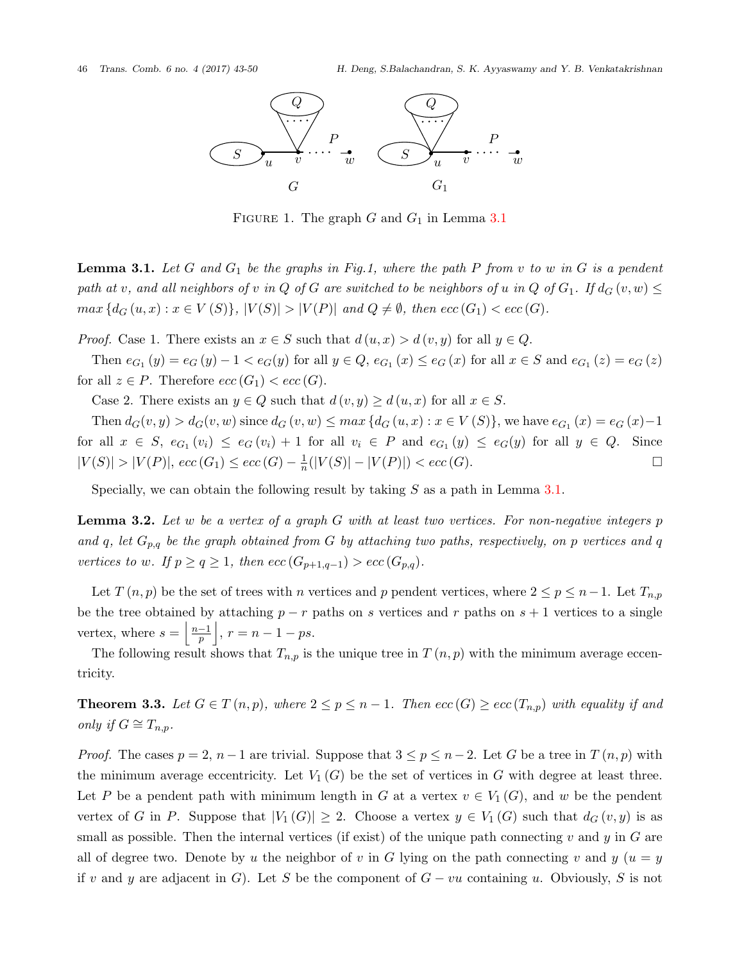

Figure 1. The graph *G* and *G*<sup>1</sup> in Lemma [3.1](#page-3-0)

<span id="page-3-0"></span>**Lemma 3.1.** *Let G and G*<sup>1</sup> *be the graphs in Fig.1, where the path P from v to w in G is a pendent* path at v, and all neighbors of v in Q of G are switched to be neighbors of u in Q of  $G_1$ . If  $d_G(v, w) \leq$  $max\{d_G(u,x): x \in V(S)\}, |V(S)| > |V(P)|$  and  $Q \neq \emptyset$ , then  $ecc(G_1) < ecc(G)$ .

*Proof.* Case 1. There exists an  $x \in S$  such that  $d(u, x) > d(v, y)$  for all  $y \in Q$ .

Then  $e_{G_1}(y) = e_G(y) - 1 < e_G(y)$  for all  $y \in Q$ ,  $e_{G_1}(x) \le e_G(x)$  for all  $x \in S$  and  $e_{G_1}(z) = e_G(z)$ for all  $z \in P$ . Therefore  $ecc(G_1) < ecc(G)$ .

Case 2. There exists an  $y \in Q$  such that  $d(v, y) \geq d(u, x)$  for all  $x \in S$ .

Then  $d_G(v, y) > d_G(v, w)$  since  $d_G(v, w) \le max \{ d_G(u, x) : x \in V(S) \}$ , we have  $e_{G_1}(x) = e_G(x) - 1$ for all  $x \in S$ ,  $e_{G_1}(v_i) \le e_G(v_i) + 1$  for all  $v_i \in P$  and  $e_{G_1}(y) \le e_G(y)$  for all  $y \in Q$ . Since  $|V(S)| > |V(P)|$ ,  $ecc(G_1) \leq ecc(G) - \frac{1}{n}$  $\frac{1}{n}(|V(S)| - |V(P)|) < \text{ecc}(G).$  □

Specially, we can obtain the following result by taking *S* as a path in Lemma [3.1](#page-3-0).

<span id="page-3-1"></span>**Lemma 3.2.** *Let w be a vertex of a graph G with at least two vertices. For non-negative integers p* and q, let  $G_{p,q}$  be the graph obtained from G by attaching two paths, respectively, on p vertices and q *vertices to w. If*  $p \ge q \ge 1$ *, then*  $ecc(G_{p+1,q-1}) > ecc(G_{p,q})$ *.* 

Let  $T(n,p)$  be the set of trees with *n* vertices and *p* pendent vertices, where  $2 \leq p \leq n-1$ . Let  $T_{n,p}$ be the tree obtained by attaching  $p - r$  paths on  $s$  vertices and  $r$  paths on  $s + 1$  vertices to a single vertex, where  $s = \left\lfloor \frac{n-1}{p} \right\rfloor$  $\Big\vert$ ,  $r = n - 1 - ps.$ 

The following result shows that  $T_{n,p}$  is the unique tree in  $T(n,p)$  with the minimum average eccentricity.

**Theorem 3.3.** Let  $G \in T(n,p)$ , where  $2 \leq p \leq n-1$ . Then  $ecc(G) \geq ecc(T_{n,p})$  with equality if and *only if*  $G \cong T_{n,p}$ *.* 

*Proof.* The cases  $p = 2$ ,  $n - 1$  are trivial. Suppose that  $3 \leq p \leq n - 2$ . Let *G* be a tree in *T*  $(n, p)$  with the minimum average eccentricity. Let  $V_1(G)$  be the set of vertices in G with degree at least three. Let *P* be a pendent path with minimum length in *G* at a vertex  $v \in V_1(G)$ , and *w* be the pendent vertex of *G* in *P*. Suppose that  $|V_1(G)| \geq 2$ . Choose a vertex  $y \in V_1(G)$  such that  $d_G(v, y)$  is as small as possible. Then the internal vertices (if exist) of the unique path connecting  $v$  and  $y$  in  $G$  are all of degree two. Denote by *u* the neighbor of *v* in *G* lying on the path connecting *v* and  $y$  ( $u = y$ ) if *v* and *y* are adjacent in *G*). Let *S* be the component of  $G - vu$  containing *u*. Obviously, *S* is not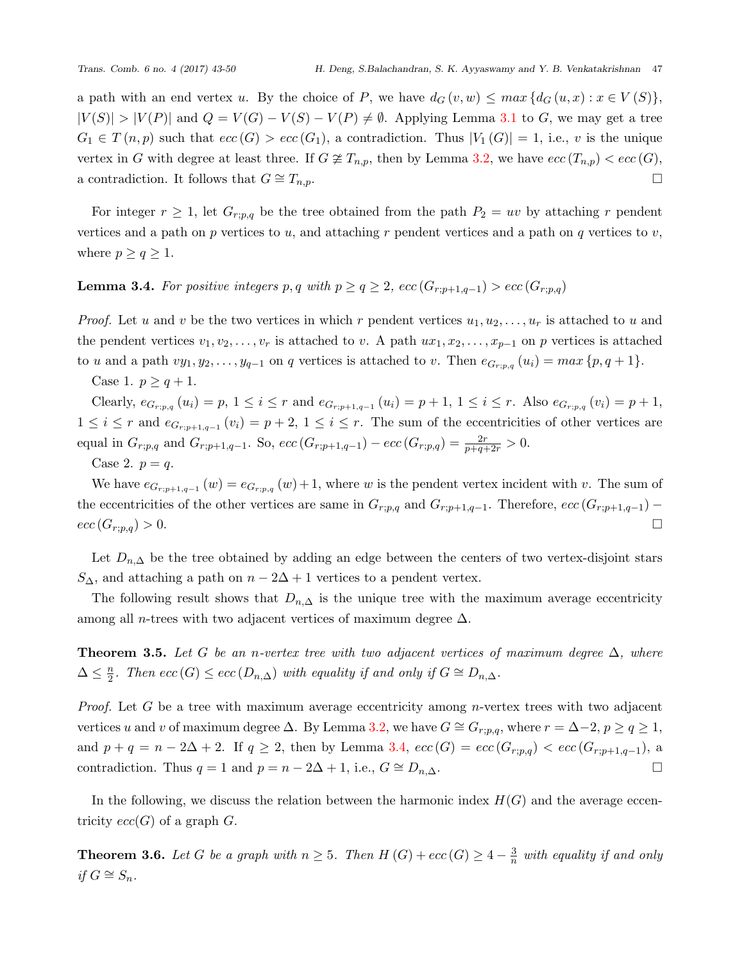a path with an end vertex *u*. By the choice of *P*, we have  $d_G(v, w) \leq max \{ d_G(u, x) : x \in V(S) \}$ ,  $|V(S)| > |V(P)|$  and  $Q = V(G) - V(S) - V(P) \neq \emptyset$ . Applying Lemma [3.1](#page-3-0) to G, we may get a tree  $G_1 \in T(n,p)$  such that  $ecc(G) > ecc(G_1)$ , a contradiction. Thus  $|V_1(G)| = 1$ , i.e., *v* is the unique vertex in *G* with degree at least three. If  $G \not\cong T_{n,p}$ , then by Lemma [3.2](#page-3-1), we have  $ecc(T_{n,p}) < ecc(G)$ , a contradiction. It follows that  $G \cong T_{n,p}$ .

For integer  $r \geq 1$ , let  $G_{r;p,q}$  be the tree obtained from the path  $P_2 = uv$  by attaching r pendent vertices and a path on *p* vertices to *u*, and attaching *r* pendent vertices and a path on *q* vertices to *v*, where  $p \geq q \geq 1$ .

# <span id="page-4-0"></span>**Lemma 3.4.** For positive integers *p*, *q* with  $p \geq q \geq 2$ ,  $ecc(G_{r;p+1,q-1}) > ecc(G_{r;p,q})$

*Proof.* Let *u* and *v* be the two vertices in which *r* pendent vertices  $u_1, u_2, \ldots, u_r$  is attached to *u* and the pendent vertices  $v_1, v_2, \ldots, v_r$  is attached to *v*. A path  $ux_1, x_2, \ldots, x_{p-1}$  on *p* vertices is attached to u and a path  $vy_1, y_2, \ldots, y_{q-1}$  on q vertices is attached to v. Then  $e_{G_{r;p,q}}(u_i) = max\{p,q+1\}.$ 

Case 1.  $p \geq q + 1$ .

Clearly,  $e_{G_{r;p,q}}(u_i) = p, 1 \leq i \leq r$  and  $e_{G_{r;p+1,q-1}}(u_i) = p+1, 1 \leq i \leq r$ . Also  $e_{G_{r;p,q}}(v_i) = p+1$ ,  $1 ≤ i ≤ r$  and  $e_{G_{r;p+1,q-1}}(v_i) = p+2, 1 ≤ i ≤ r$ . The sum of the eccentricities of other vertices are equal in  $G_{r;p,q}$  and  $G_{r;p+1,q-1}$ . So,  $ecc(G_{r;p+1,q-1}) - ecc(G_{r;p,q}) = \frac{2r}{p+q+2r} > 0$ .

Case 2.  $p = q$ .

We have  $e_{G_{r;p+1,q-1}}(w) = e_{G_{r;p,q}}(w) + 1$ , where *w* is the pendent vertex incident with *v*. The sum of the eccentricities of the other vertices are same in  $G_{r;p,q}$  and  $G_{r;p+1,q-1}$ . Therefore,  $ecc(G_{r;p+1,q-1})$  $ecc(G_{r;p,q}) > 0.$ 

Let  $D_{n,\Delta}$  be the tree obtained by adding an edge between the centers of two vertex-disjoint stars *S*∆, and attaching a path on  $n-2\Delta+1$  vertices to a pendent vertex.

The following result shows that  $D_{n,\Delta}$  is the unique tree with the maximum average eccentricity among all *n*-trees with two adjacent vertices of maximum degree ∆.

**Theorem 3.5.** Let G be an *n*-vertex tree with two adjacent vertices of maximum degree  $\Delta$ , where  $\Delta \leq \frac{n}{2}$  $\frac{n}{2}$ *. Then*  $ecc(G) \leq ecc(D_{n,\Delta})$  *with equality if and only if*  $G \cong D_{n,\Delta}$ *.* 

*Proof.* Let *G* be a tree with maximum average eccentricity among *n*-vertex trees with two adjacent vertices *u* and *v* of maximum degree ∆. By Lemma [3.2,](#page-3-1) we have *G ∼*= *Gr*;*p,q*, where *r* = ∆*−*2, *p ≥ q ≥* 1, and  $p + q = n - 2\Delta + 2$ . If  $q \geq 2$ , then by Lemma [3.4](#page-4-0),  $ecc(G) = ecc(G_{r;p,q}) < ecc(G_{r;p+1,q-1})$ , a contradiction. Thus  $q = 1$  and  $p = n - 2\Delta + 1$ , i.e.,  $G \cong D_{n,\Delta}$ .

In the following, we discuss the relation between the harmonic index  $H(G)$  and the average eccentricity  $ecc(G)$  of a graph  $G$ .

**Theorem 3.6.** *Let G be a graph with*  $n \geq 5$ *. Then*  $H(G) + ecc(G) \geq 4 - \frac{3}{n}$  $\frac{3}{n}$  with equality if and only *if*  $G$   $\cong$   $S_n$ *.*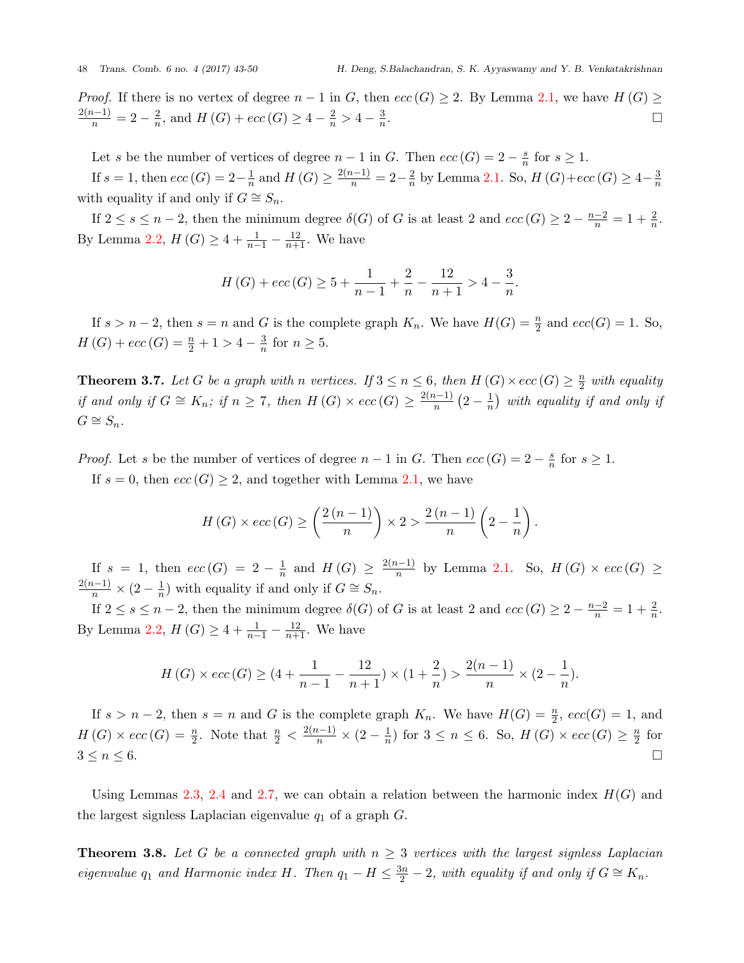*Proof.* If there is no vertex of degree  $n-1$  in *G*, then  $ecc(G) \geq 2$ . By Lemma [2.1,](#page-1-0) we have  $H(G) \geq$  $\frac{2(n-1)}{n} = 2 - \frac{2}{n}$  $\frac{2}{n}$ , and  $H(G) + \textit{ecc}(G) \geq 4 - \frac{2}{n} > 4 - \frac{3}{n}$ *n* . □

Let *s* be the number of vertices of degree  $n-1$  in *G*. Then  $ecc(G) = 2 - \frac{s}{n}$  $\frac{s}{n}$  for  $s \geq 1$ .

If  $s = 1$ , then  $ecc(G) = 2 - \frac{1}{n}$  $\frac{1}{n}$  and  $H(G) \ge \frac{2(n-1)}{n} = 2 - \frac{2}{n}$  $\frac{2}{n}$  by Lemma [2.1.](#page-1-0) So,  $H(G) + ecc(G) \geq 4 - \frac{3}{n}$ *n* with equality if and only if  $G \cong S_n$ .

If  $2 \leq s \leq n-2$ , then the minimum degree  $\delta(G)$  of *G* is at least 2 and  $ecc(G) \geq 2 - \frac{n-2}{n} = 1 + \frac{2}{n}$ . By Lemma [2.2](#page-1-1),  $H(G) \geq 4 + \frac{1}{n-1} - \frac{12}{n+1}$ . We have

$$
H(G) + ecc(G) \ge 5 + \frac{1}{n-1} + \frac{2}{n} - \frac{12}{n+1} > 4 - \frac{3}{n}.
$$

If  $s > n-2$ , then  $s = n$  and *G* is the complete graph  $K_n$ . We have  $H(G) = \frac{n}{2}$  and  $ecc(G) = 1$ . So, *H* (*G*) + *ecc* (*G*) =  $\frac{n}{2} + 1 > 4 - \frac{3}{n}$  $\frac{3}{n}$  for  $n \geq 5$ .

**Theorem 3.7.** *Let G be a graph with n vertices. If*  $3 \leq n \leq 6$ *, then*  $H(G) \times ecc(G) \geq \frac{n}{2}$  $\frac{n}{2}$  with equality *if* and only if  $G \cong K_n$ ; if  $n \ge 7$ , then  $H(G) \times ecc(G) \ge \frac{2(n-1)}{n}(2-\frac{1}{n})$  $\frac{1}{n}$  *with equality if and only if*  $G$   $\cong$   $S_n$ *.* 

*Proof.* Let *s* be the number of vertices of degree  $n-1$  in *G*. Then  $ecc(G) = 2 - \frac{s}{n}$  $\frac{s}{n}$  for  $s \geq 1$ . If  $s = 0$ , then  $ecc(G) \geq 2$ , and together with Lemma [2.1](#page-1-0), we have

$$
H(G) \times ecc(G) \ge \left(\frac{2\left(n-1\right)}{n}\right) \times 2 > \frac{2\left(n-1\right)}{n}\left(2-\frac{1}{n}\right).
$$

If  $s = 1$ , then  $ecc(G) = 2 - \frac{1}{n}$  $\frac{1}{n}$  and  $H(G) \geq \frac{2(n-1)}{n}$  by Lemma [2.1.](#page-1-0) So,  $H(G) \times ecc(G) \geq$  $\frac{2(n-1)}{n} \times (2-\frac{1}{n})$  $\frac{1}{n}$ ) with equality if and only if *G*  $\cong$  *S*<sup>*n*</sup>.

If  $2 \le s \le n-2$ , then the minimum degree  $\delta(G)$  of *G* is at least 2 and  $ecc(G) \ge 2 - \frac{n-2}{n} = 1 + \frac{2}{n}$ . By Lemma [2.2](#page-1-1),  $H(G) \geq 4 + \frac{1}{n-1} - \frac{12}{n+1}$ . We have

$$
H(G) \times ecc(G) \geq (4 + \frac{1}{n-1} - \frac{12}{n+1}) \times (1 + \frac{2}{n}) > \frac{2(n-1)}{n} \times (2 - \frac{1}{n}).
$$

If  $s > n-2$ , then  $s = n$  and *G* is the complete graph  $K_n$ . We have  $H(G) = \frac{n}{2}$ ,  $ecc(G) = 1$ , and  $H(G) \times ecc(G) = \frac{n}{2}$ . Note that  $\frac{n}{2} < \frac{2(n-1)}{n} \times (2 - \frac{1}{n})$  $\frac{1}{n}$ ) for  $3 \leq n \leq 6$ . So,  $H(G) \times ecc(G) \geq \frac{n}{2}$  $\frac{n}{2}$  for  $3 \leq n \leq 6.$ 

Using Lemmas [2.3,](#page-2-2) [2.4](#page-2-3) and [2.7](#page-2-4), we can obtain a relation between the harmonic index  $H(G)$  and the largest signless Laplacian eigenvalue *q*<sup>1</sup> of a graph *G*.

<span id="page-5-0"></span>**Theorem 3.8.** Let G be a connected graph with  $n \geq 3$  vertices with the largest signless Laplacian *eigenvalue*  $q_1$  *and Harmonic index H.* Then  $q_1 - H \leq \frac{3n}{2} - 2$ , with equality if and only if  $G \cong K_n$ .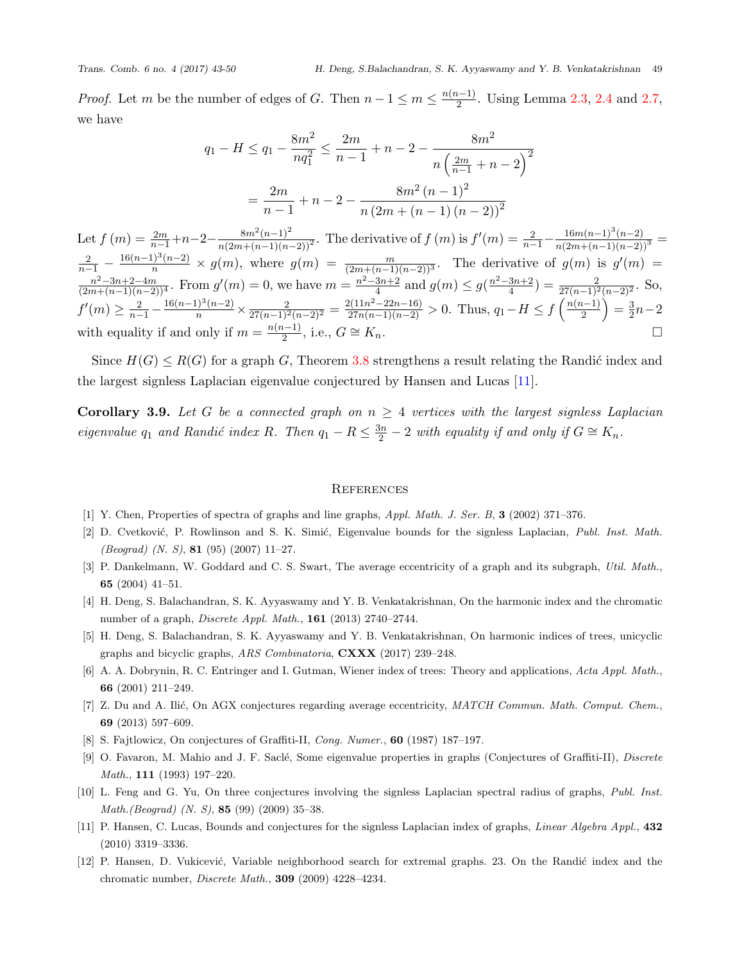*Proof.* Let *m* be the number of edges of *G*. Then  $n-1 \le m \le \frac{n(n-1)}{2}$ . Using Lemma [2.3,](#page-2-2) [2.4](#page-2-3) and [2.7](#page-2-4), we have

$$
q_1 - H \le q_1 - \frac{8m^2}{nq_1^2} \le \frac{2m}{n-1} + n - 2 - \frac{8m^2}{n\left(\frac{2m}{n-1} + n - 2\right)^2}
$$

$$
= \frac{2m}{n-1} + n - 2 - \frac{8m^2(n-1)^2}{n\left(2m + (n-1)\left(n-2\right)\right)^2}
$$

Let  $f(m) = \frac{2m}{n-1} + n - 2 - \frac{8m^2(n-1)^2}{n(2m + (n-1)(n-2))^2}$ . The derivative of  $f(m)$  is  $f'(m) = \frac{2}{n-1} - \frac{16m(n-1)^3(n-2)}{n(2m + (n-1)(n-2))^3}$  $\frac{2}{n-1} - \frac{16(n-1)^3(n-2)}{n} \times g(m)$ , where  $g(m) = \frac{m}{(2m + (n-1)(n-2))^3}$ . The derivative of  $g(m)$  is  $g'(m) =$  $\frac{n^2-3n+2-4m}{(2m+(n-1)(n-2))^4}$ . From  $g'(m)=0$ , we have  $m=\frac{n^2-3n+2}{4}$  and  $g(m)\leq g(\frac{n^2-3n+2}{4})=\frac{2}{27(n-1)^2(n-2)^2}$ . So,  $f'(m) \geq \frac{2}{n-1} - \frac{16(n-1)^3(n-2)}{n} \times \frac{2}{27(n-1)^2(n-2)^2} = \frac{2(11n^2 - 22n - 16)}{27n(n-1)(n-2)} > 0.$  Thus,  $q_1 - H \leq f\left(\frac{n(n-1)}{2}\right)$  $) = \frac{3}{2}$ 2 *n−*2 with equality if and only if  $m = \frac{n(n-1)}{2}$ , i.e.,  $G \cong K_n$ .

Since  $H(G) \leq R(G)$  for a graph *G*, Theorem [3.8](#page-5-0) strengthens a result relating the Randić index and the largest signless Laplacian eigenvalue conjectured by Hansen and Lucas [[11\]](#page-6-0).

**Corollary 3.9.** Let G be a connected graph on  $n \geq 4$  vertices with the largest signless Laplacian *eigenvalue*  $q_1$  *and Randić index R.* Then  $q_1 - R \leq \frac{3n}{2} - 2$  *with equality if and only if*  $G \cong K_n$ *.* 

### **REFERENCES**

- <span id="page-6-10"></span>[1] Y. Chen, Properties of spectra of graphs and line graphs, *Appl. Math. J. Ser. B*, **3** (2002) 371–376.
- <span id="page-6-9"></span>[2] D. Cvetkovi´c, P. Rowlinson and S. K. Simi´c, Eigenvalue bounds for the signless Laplacian, *Publ. Inst. Math. (Beograd) (N. S)*, **81** (95) (2007) 11–27.
- <span id="page-6-1"></span>[3] P. Dankelmann, W. Goddard and C. S. Swart, The average eccentricity of a graph and its subgraph, *Util. Math.*, **65** (2004) 41–51.
- <span id="page-6-6"></span>[4] H. Deng, S. Balachandran, S. K. Ayyaswamy and Y. B. Venkatakrishnan, On the harmonic index and the chromatic number of a graph, *Discrete Appl. Math.*, **161** (2013) 2740–2744.
- <span id="page-6-8"></span>[5] H. Deng, S. Balachandran, S. K. Ayyaswamy and Y. B. Venkatakrishnan, On harmonic indices of trees, unicyclic graphs and bicyclic graphs, *ARS Combinatoria*, **CXXX** (2017) 239–248.
- <span id="page-6-3"></span>[6] A. A. Dobrynin, R. C. Entringer and I. Gutman, Wiener index of trees: Theory and applications, *Acta Appl. Math.*, **66** (2001) 211–249.
- <span id="page-6-2"></span>[7] Z. Du and A. Ilić, On AGX conjectures regarding average eccentricity, *MATCH Commun. Math. Comput. Chem.*, **69** (2013) 597–609.
- <span id="page-6-4"></span>[8] S. Fajtlowicz, On conjectures of Graffiti-II, *Cong. Numer.*, **60** (1987) 187–197.
- <span id="page-6-5"></span>[9] O. Favaron, M. Mahio and J. F. Sacl´e, Some eigenvalue properties in graphs (Conjectures of Graffiti-II), *Discrete Math.*, **111** (1993) 197–220.
- <span id="page-6-11"></span>[10] L. Feng and G. Yu, On three conjectures involving the signless Laplacian spectral radius of graphs, *Publ. Inst. Math.(Beograd) (N. S)*, **85** (99) (2009) 35–38.
- <span id="page-6-0"></span>[11] P. Hansen, C. Lucas, Bounds and conjectures for the signless Laplacian index of graphs, *Linear Algebra Appl.*, **432** (2010) 3319–3336.
- <span id="page-6-7"></span>[12] P. Hansen, D. Vukicević, Variable neighborhood search for extremal graphs. 23. On the Randić index and the chromatic number, *Discrete Math.*, **309** (2009) 4228–4234.